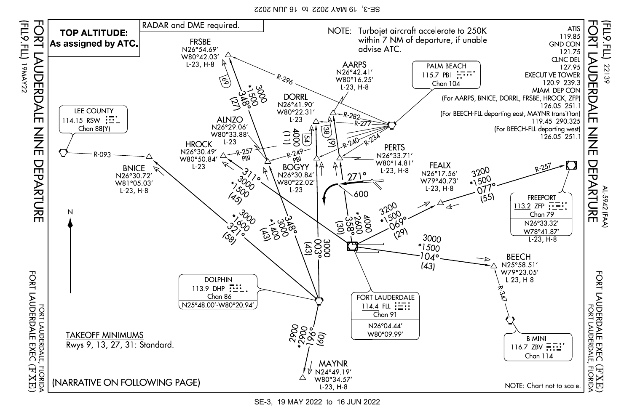SE-3, 19 MAY 2022 to 16 JUN 2022



SE-3, 19 MAY 2022 to 16 JUN 2022